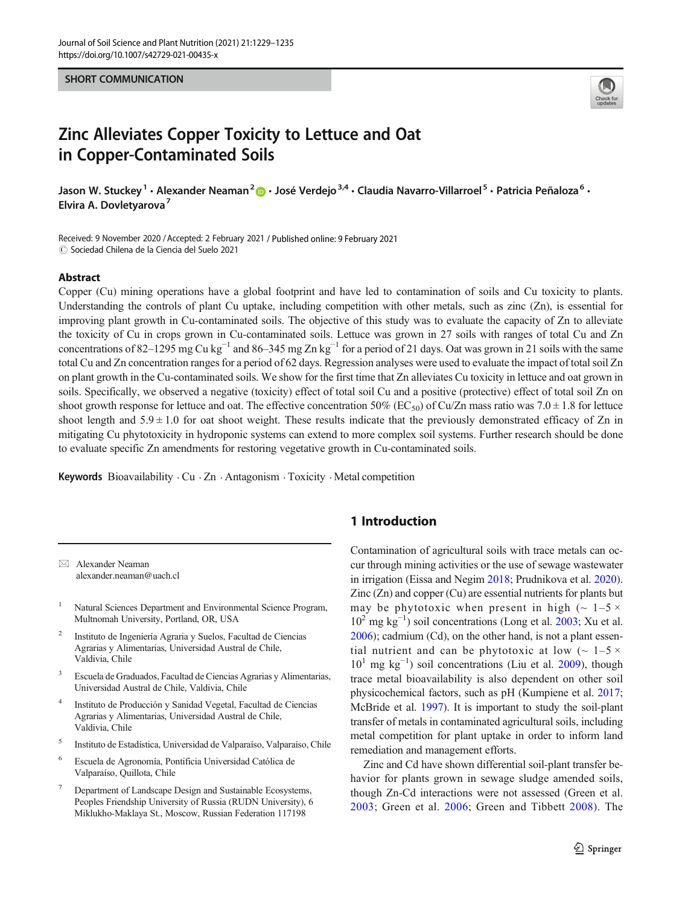#### SHORT COMMUNICATION



# Zinc Alleviates Copper Toxicity to Lettuce and Oat in Copper-Contaminated Soils

Jason W. Stuckey<sup>1</sup> • Alexander Neaman<sup>2</sup>  $\cdot$  José Verdejo<sup>3,4</sup> • Claudia Navarro-Villarroel<sup>5</sup> • Patricia Peñaloza<sup>6</sup> • Elvira A. Dovletvarova<sup>7</sup>

Received: 9 November 2020 /Accepted: 2 February 2021 / Published online: 9 February 2021  $\oslash$  Sociedad Chilena de la Ciencia del Suelo 2021

#### Abstract

Copper (Cu) mining operations have a global footprint and have led to contamination of soils and Cu toxicity to plants. Understanding the controls of plant Cu uptake, including competition with other metals, such as zinc (Zn), is essential for improving plant growth in Cu-contaminated soils. The objective of this study was to evaluate the capacity of Zn to alleviate the toxicity of Cu in crops grown in Cu-contaminated soils. Lettuce was grown in 27 soils with ranges of total Cu and Zn concentrations of 82–1295 mg Cu kg<sup>-1</sup> and 86–345 mg Zn kg<sup>-1</sup> for a period of 21 days. Oat was grown in 21 soils with the same total Cu and Zn concentration ranges for a period of 62 days. Regression analyses were used to evaluate the impact of total soil Zn on plant growth in the Cu-contaminated soils. We show for the first time that Zn alleviates Cu toxicity in lettuce and oat grown in soils. Specifically, we observed a negative (toxicity) effect of total soil Cu and a positive (protective) effect of total soil Zn on shoot growth response for lettuce and oat. The effective concentration 50% (EC<sub>50</sub>) of Cu/Zn mass ratio was 7.0  $\pm$  1.8 for lettuce shoot length and  $5.9 \pm 1.0$  for oat shoot weight. These results indicate that the previously demonstrated efficacy of Zn in mitigating Cu phytotoxicity in hydroponic systems can extend to more complex soil systems. Further research should be done to evaluate specific Zn amendments for restoring vegetative growth in Cu-contaminated soils.

Keywords Bioavailability  $\cdot$  Cu  $\cdot$  Zn  $\cdot$  Antagonism  $\cdot$  Toxicity  $\cdot$  Metal competition

 $\boxtimes$  Alexander Neaman [alexander.neaman@uach.cl](mailto:alexander.neaman@uach.cl)

- <sup>1</sup> Natural Sciences Department and Environmental Science Program, Multnomah University, Portland, OR, USA
- <sup>2</sup> Instituto de Ingeniería Agraria y Suelos, Facultad de Ciencias Agrarias y Alimentarias, Universidad Austral de Chile, Valdivia, Chile
- <sup>3</sup> Escuela de Graduados, Facultad de Ciencias Agrarias y Alimentarias, Universidad Austral de Chile, Valdivia, Chile
- <sup>4</sup> Instituto de Producción y Sanidad Vegetal, Facultad de Ciencias Agrarias y Alimentarias, Universidad Austral de Chile, Valdivia, Chile
- <sup>5</sup> Instituto de Estadística, Universidad de Valparaíso, Valparaíso, Chile
- <sup>6</sup> Escuela de Agronomía, Pontificia Universidad Católica de Valparaíso, Quillota, Chile
- <sup>7</sup> Department of Landscape Design and Sustainable Ecosystems, Peoples Friendship University of Russia (RUDN University), 6 Miklukho-Maklaya St., Moscow, Russian Federation 117198

## 1 Introduction

Contamination of agricultural soils with trace metals can occur through mining activities or the use of sewage wastewater in irrigation (Eissa and Negim [2018](#page-5-0); Prudnikova et al. [2020\)](#page-6-0). Zinc (Zn) and copper (Cu) are essential nutrients for plants but may be phytotoxic when present in high  $(\sim 1-5 \times$ 102 mg kg−<sup>1</sup> ) soil concentrations (Long et al. [2003;](#page-5-0) Xu et al. [2006\)](#page-6-0); cadmium (Cd), on the other hand, is not a plant essential nutrient and can be phytotoxic at low  $(-1)$  -5  $\times$ 101 mg kg−<sup>1</sup> ) soil concentrations (Liu et al. [2009](#page-5-0)), though trace metal bioavailability is also dependent on other soil physicochemical factors, such as pH (Kumpiene et al. [2017;](#page-5-0) McBride et al. [1997](#page-5-0)). It is important to study the soil-plant transfer of metals in contaminated agricultural soils, including metal competition for plant uptake in order to inform land remediation and management efforts.

Zinc and Cd have shown differential soil-plant transfer behavior for plants grown in sewage sludge amended soils, though Zn-Cd interactions were not assessed (Green et al. [2003;](#page-5-0) Green et al. [2006](#page-5-0); Green and Tibbett [2008](#page-5-0)). The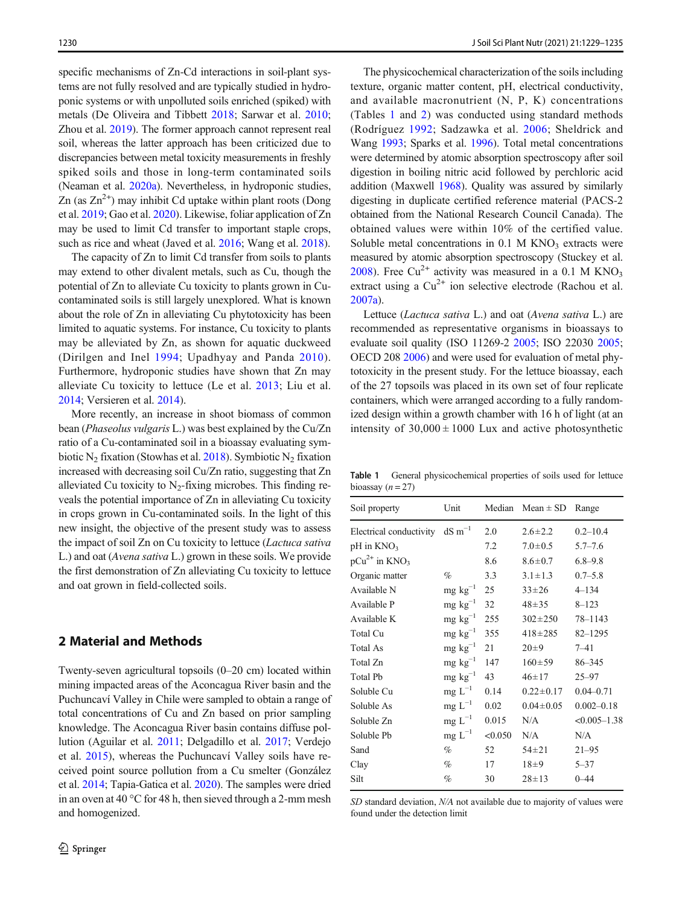specific mechanisms of Zn-Cd interactions in soil-plant systems are not fully resolved and are typically studied in hydroponic systems or with unpolluted soils enriched (spiked) with metals (De Oliveira and Tibbett [2018;](#page-5-0) Sarwar et al. [2010](#page-6-0); Zhou et al. [2019](#page-6-0)). The former approach cannot represent real soil, whereas the latter approach has been criticized due to discrepancies between metal toxicity measurements in freshly spiked soils and those in long-term contaminated soils (Neaman et al. [2020a\)](#page-5-0). Nevertheless, in hydroponic studies, Zn (as  $Zn^{2+}$ ) may inhibit Cd uptake within plant roots (Dong et al. [2019;](#page-5-0) Gao et al. [2020](#page-5-0)). Likewise, foliar application of Zn may be used to limit Cd transfer to important staple crops, such as rice and wheat (Javed et al. [2016;](#page-5-0) Wang et al. [2018](#page-6-0)).

The capacity of Zn to limit Cd transfer from soils to plants may extend to other divalent metals, such as Cu, though the potential of Zn to alleviate Cu toxicity to plants grown in Cucontaminated soils is still largely unexplored. What is known about the role of Zn in alleviating Cu phytotoxicity has been limited to aquatic systems. For instance, Cu toxicity to plants may be alleviated by Zn, as shown for aquatic duckweed (Dirilgen and Inel [1994;](#page-5-0) Upadhyay and Panda [2010](#page-6-0)). Furthermore, hydroponic studies have shown that Zn may alleviate Cu toxicity to lettuce (Le et al. [2013;](#page-5-0) Liu et al. [2014;](#page-5-0) Versieren et al. [2014](#page-6-0)).

More recently, an increase in shoot biomass of common bean (Phaseolus vulgaris L.) was best explained by the Cu/Zn ratio of a Cu-contaminated soil in a bioassay evaluating sym-biotic N<sub>2</sub> fixation (Stowhas et al. [2018](#page-6-0)). Symbiotic N<sub>2</sub> fixation increased with decreasing soil Cu/Zn ratio, suggesting that Zn alleviated Cu toxicity to  $N_2$ -fixing microbes. This finding reveals the potential importance of Zn in alleviating Cu toxicity in crops grown in Cu-contaminated soils. In the light of this new insight, the objective of the present study was to assess the impact of soil Zn on Cu toxicity to lettuce (Lactuca sativa L.) and oat (Avena sativa L.) grown in these soils. We provide the first demonstration of Zn alleviating Cu toxicity to lettuce and oat grown in field-collected soils.

### 2 Material and Methods

Twenty-seven agricultural topsoils (0–20 cm) located within mining impacted areas of the Aconcagua River basin and the Puchuncaví Valley in Chile were sampled to obtain a range of total concentrations of Cu and Zn based on prior sampling knowledge. The Aconcagua River basin contains diffuse pollution (Aguilar et al. [2011](#page-4-0); Delgadillo et al. [2017](#page-5-0); Verdejo et al. [2015\)](#page-6-0), whereas the Puchuncaví Valley soils have received point source pollution from a Cu smelter (González et al. [2014](#page-5-0); Tapia-Gatica et al. [2020](#page-6-0)). The samples were dried in an oven at 40 °C for 48 h, then sieved through a 2-mm mesh and homogenized.

The physicochemical characterization of the soils including texture, organic matter content, pH, electrical conductivity, and available macronutrient (N, P, K) concentrations (Tables 1 and [2](#page-2-0)) was conducted using standard methods (Rodríguez [1992](#page-6-0); Sadzawka et al. [2006](#page-6-0); Sheldrick and Wang [1993](#page-6-0); Sparks et al. [1996\)](#page-6-0). Total metal concentrations were determined by atomic absorption spectroscopy after soil digestion in boiling nitric acid followed by perchloric acid addition (Maxwell [1968\)](#page-5-0). Quality was assured by similarly digesting in duplicate certified reference material (PACS-2 obtained from the National Research Council Canada). The obtained values were within 10% of the certified value. Soluble metal concentrations in  $0.1$  M KNO<sub>3</sub> extracts were measured by atomic absorption spectroscopy (Stuckey et al. [2008\)](#page-6-0). Free Cu<sup>2+</sup> activity was measured in a 0.1 M KNO<sub>3</sub> extract using a  $Cu^{2+}$  ion selective electrode (Rachou et al. [2007a\)](#page-6-0).

Lettuce (Lactuca sativa L.) and oat (Avena sativa L.) are recommended as representative organisms in bioassays to evaluate soil quality (ISO 11269-2 [2005](#page-5-0); ISO 22030 [2005;](#page-5-0) OECD 208 [2006](#page-5-0)) and were used for evaluation of metal phytotoxicity in the present study. For the lettuce bioassay, each of the 27 topsoils was placed in its own set of four replicate containers, which were arranged according to a fully randomized design within a growth chamber with 16 h of light (at an intensity of  $30,000 \pm 1000$  Lux and active photosynthetic

Table 1 General physicochemical properties of soils used for lettuce bioassay ( $n = 27$ )

| Soil property                       | Unit                 |         | Median Mean $\pm$ SD Range |                  |
|-------------------------------------|----------------------|---------|----------------------------|------------------|
| Electrical conductivity dS $m^{-1}$ |                      | 2.0     | $2.6 \pm 2.2$              | $0.2 - 10.4$     |
| $pH$ in $KNO_3$                     |                      | 7.2     | $7.0 \pm 0.5$              | $5.7 - 7.6$      |
| $pCu^{2+}$ in KNO <sub>3</sub>      |                      | 8.6     | $8.6 \pm 0.7$              | $6.8 - 9.8$      |
| Organic matter                      | $\%$                 | 3.3     | $3.1 \pm 1.3$              | $0.7 - 5.8$      |
| Available N                         | $mg \text{ kg}^{-1}$ | 25      | $33 + 26$                  | $4 - 134$        |
| Available P                         | $mg \text{ kg}^{-1}$ | 32      | $48 + 35$                  | $8 - 123$        |
| Available K                         | $mg \text{ kg}^{-1}$ | 255     | $302 \pm 250$              | 78-1143          |
| Total Cu                            | $mg \ kg^{-1}$       | 355     | $418 + 285$                | $82 - 1295$      |
| Total As                            | $mg \text{ kg}^{-1}$ | 21      | $20 \pm 9$                 | $7 - 41$         |
| Total Zn                            | $mg \text{ kg}^{-1}$ | 147     | $160 \pm 59$               | 86–345           |
| <b>Total Pb</b>                     | $mg \text{ kg}^{-1}$ | 43      | $46 \pm 17$                | $25 - 97$        |
| Soluble Cu                          | $mg L^{-1}$          | 0.14    | $0.22 \pm 0.17$            | $0.04 - 0.71$    |
| Soluble As                          | $mg L^{-1}$          | 0.02    | $0.04 \pm 0.05$            | $0.002 - 0.18$   |
| Soluble Zn                          | $mg L^{-1}$          | 0.015   | N/A                        | $< 0.005 - 1.38$ |
| Soluble Pb                          | $mg L^{-1}$          | < 0.050 | N/A                        | N/A              |
| Sand                                | $\%$                 | 52      | $54 \pm 21$                | $21 - 95$        |
| Clay                                | $\%$                 | 17      | $18\pm9$                   | $5 - 37$         |
| Silt                                | $\%$                 | 30      | $28 \pm 13$                | $0 - 44$         |
|                                     |                      |         |                            |                  |

SD standard deviation,  $N/A$  not available due to majority of values were found under the detection limit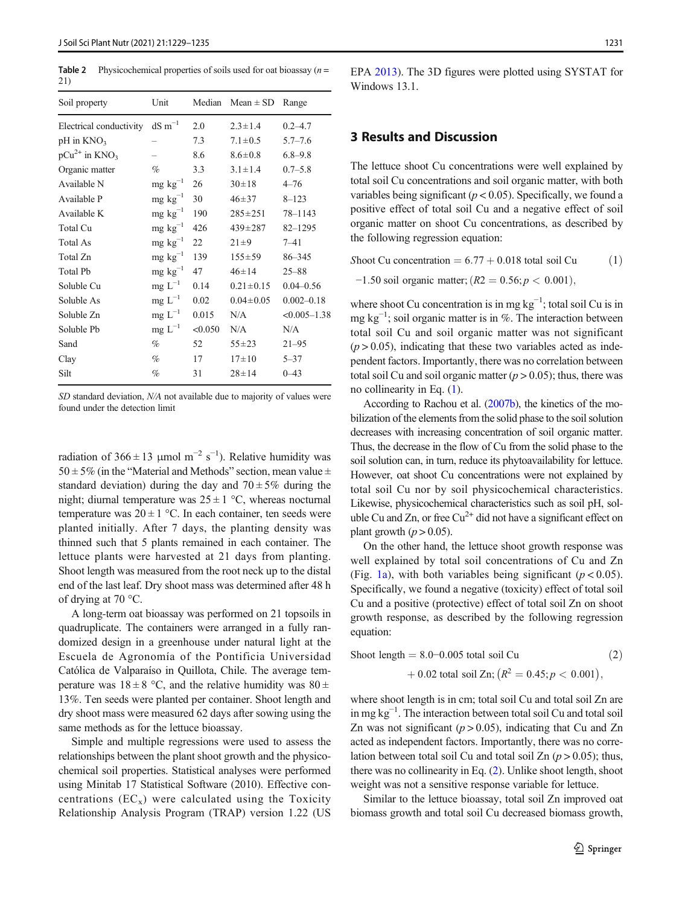<span id="page-2-0"></span>**Table 2** Physicochemical properties of soils used for oat bioassay  $(n =$ 21)

| Soil property                  | Unit                  | Median  | $Mean \pm SD$   | Range            |
|--------------------------------|-----------------------|---------|-----------------|------------------|
| Electrical conductivity        | $dS \, \text{m}^{-1}$ | 2.0     | $2.3 \pm 1.4$   | $0.2 - 4.7$      |
| $pH$ in $KNO_3$                |                       | 7.3     | $7.1 \pm 0.5$   | $5.7 - 7.6$      |
| $pCu^{2+}$ in KNO <sub>3</sub> |                       | 8.6     | $8.6 \pm 0.8$   | $6.8 - 9.8$      |
| Organic matter                 | %                     | 3.3     | $3.1 \pm 1.4$   | $0.7 - 5.8$      |
| Available N                    | $mg \ kg^{-1}$        | 26      | $30 \pm 18$     | $4 - 76$         |
| Available P                    | $mg \text{ kg}^{-1}$  | 30      | $46 + 37$       | $8 - 123$        |
| Available K                    | $mg \text{ kg}^{-1}$  | 190     | $285 \pm 251$   | 78-1143          |
| Total Cu                       | $mg \text{ kg}^{-1}$  | 426     | $439 \pm 287$   | $82 - 1295$      |
| Total As                       | $mg \text{ kg}^{-1}$  | 22      | $21 \pm 9$      | $7 - 41$         |
| Total Zn                       | $mg \text{ kg}^{-1}$  | 139     | $155 \pm 59$    | 86-345           |
| Total Pb                       | $mg \text{ kg}^{-1}$  | 47      | $46 \pm 14$     | $25 - 88$        |
| Soluble Cu                     | $mg L^{-1}$           | 0.14    | $0.21 \pm 0.15$ | $0.04 - 0.56$    |
| Soluble As                     | $mg L^{-1}$           | 0.02    | $0.04 \pm 0.05$ | $0.002 - 0.18$   |
| Soluble Zn                     | $mg L^{-1}$           | 0.015   | N/A             | $< 0.005 - 1.38$ |
| Soluble Pb                     | $mg L^{-1}$           | < 0.050 | N/A             | N/A              |
| Sand                           | $\%$                  | 52      | $55 + 23$       | $21 - 95$        |
| Clay                           | $\%$                  | 17      | $17\pm10$       | $5 - 37$         |
| Silt                           | %                     | 31      | $28 \pm 14$     | $0 - 43$         |

SD standard deviation, N/A not available due to majority of values were found under the detection limit

radiation of  $366 \pm 13$  µmol m<sup>-2</sup> s<sup>-1</sup>). Relative humidity was  $50 \pm 5\%$  (in the "Material and Methods" section, mean value  $\pm$ standard deviation) during the day and  $70 \pm 5\%$  during the night; diurnal temperature was  $25 \pm 1$  °C, whereas nocturnal temperature was  $20 \pm 1$  °C. In each container, ten seeds were planted initially. After 7 days, the planting density was thinned such that 5 plants remained in each container. The lettuce plants were harvested at 21 days from planting. Shoot length was measured from the root neck up to the distal end of the last leaf. Dry shoot mass was determined after 48 h of drying at 70 °C.

A long-term oat bioassay was performed on 21 topsoils in quadruplicate. The containers were arranged in a fully randomized design in a greenhouse under natural light at the Escuela de Agronomía of the Pontificia Universidad Católica de Valparaíso in Quillota, Chile. The average temperature was  $18 \pm 8$  °C, and the relative humidity was  $80 \pm$ 13%. Ten seeds were planted per container. Shoot length and dry shoot mass were measured 62 days after sowing using the same methods as for the lettuce bioassay.

Simple and multiple regressions were used to assess the relationships between the plant shoot growth and the physicochemical soil properties. Statistical analyses were performed using Minitab 17 Statistical Software (2010). Effective concentrations  $(EC_x)$  were calculated using the Toxicity Relationship Analysis Program (TRAP) version 1.22 (US EPA [2013](#page-6-0)). The 3D figures were plotted using SYSTAT for Windows 13.1.

# 3 Results and Discussion

The lettuce shoot Cu concentrations were well explained by total soil Cu concentrations and soil organic matter, with both variables being significant ( $p < 0.05$ ). Specifically, we found a positive effect of total soil Cu and a negative effect of soil organic matter on shoot Cu concentrations, as described by the following regression equation:

Shoot Cu concentration  $= 6.77 + 0.018$  total soil Cu  $(1)$ 

 $-1.50$  soil organic matter;  $(R2 = 0.56; p < 0.001)$ ,

where shoot Cu concentration is in mg  $kg^{-1}$ ; total soil Cu is in mg kg<sup>-1</sup>; soil organic matter is in %. The interaction between total soil Cu and soil organic matter was not significant  $(p > 0.05)$ , indicating that these two variables acted as independent factors. Importantly, there was no correlation between total soil Cu and soil organic matter  $(p > 0.05)$ ; thus, there was no collinearity in Eq. (1).

According to Rachou et al. [\(2007b\)](#page-6-0), the kinetics of the mobilization of the elements from the solid phase to the soil solution decreases with increasing concentration of soil organic matter. Thus, the decrease in the flow of Cu from the solid phase to the soil solution can, in turn, reduce its phytoavailability for lettuce. However, oat shoot Cu concentrations were not explained by total soil Cu nor by soil physicochemical characteristics. Likewise, physicochemical characteristics such as soil pH, soluble Cu and Zn, or free  $Cu^{2+}$  did not have a significant effect on plant growth  $(p > 0.05)$ .

On the other hand, the lettuce shoot growth response was well explained by total soil concentrations of Cu and Zn (Fig. [1a\)](#page-3-0), with both variables being significant ( $p < 0.05$ ). Specifically, we found a negative (toxicity) effect of total soil Cu and a positive (protective) effect of total soil Zn on shoot growth response, as described by the following regression equation:

$$
ext{Show the graph} = 8.0 - 0.005 \text{ total soil Cu} \tag{2}
$$

 $\phi + 0.02$  total soil Zn;  $\left(R^2 = 0.45; p < 0.001\right)$ ,

where shoot length is in cm; total soil Cu and total soil Zn are in mg kg−<sup>1</sup> . The interaction between total soil Cu and total soil Zn was not significant ( $p > 0.05$ ), indicating that Cu and Zn acted as independent factors. Importantly, there was no correlation between total soil Cu and total soil Zn  $(p > 0.05)$ ; thus, there was no collinearity in Eq. (2). Unlike shoot length, shoot weight was not a sensitive response variable for lettuce.

Similar to the lettuce bioassay, total soil Zn improved oat biomass growth and total soil Cu decreased biomass growth,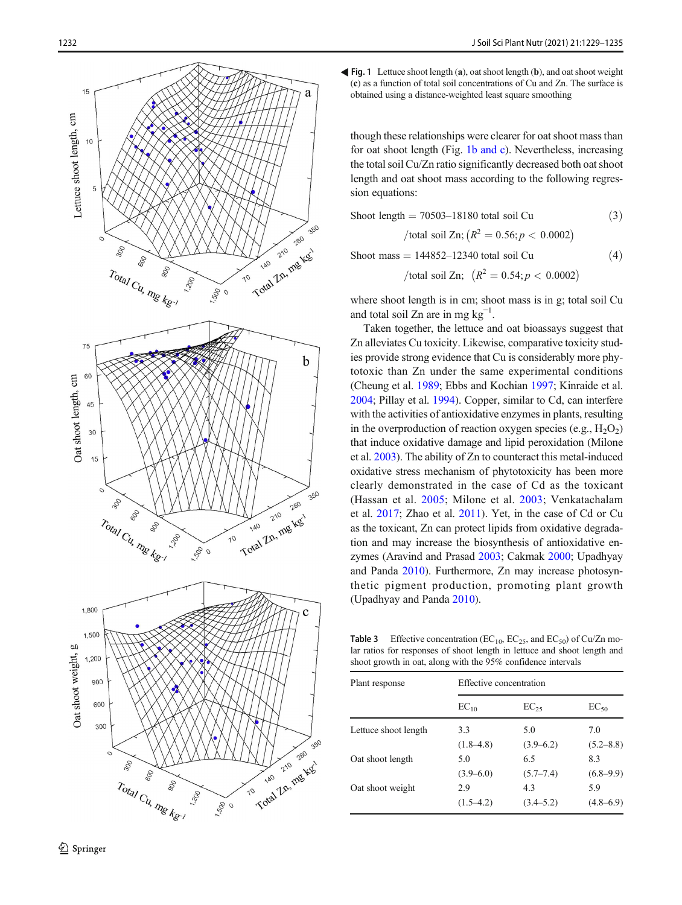<span id="page-3-0"></span>

Fig. 1 Lettuce shoot length ( a), oat shoot length ( b), and oat shoot weight ( c) as a function of total soil concentrations of Cu and Zn. The surface is obtained using a distance-weighted least square smoothing

though these relationships were clearer for oat shoot mass than for oat shoot length (Fig. 1b and c). Nevertheless, increasing the total soil Cu/Zn ratio significantly decreased both oat shoot length and oat shoot mass according to the following regression equations:

Show length = 
$$
70503 - 18180
$$
 total soil Cu

\n(3)

\n/total soil Zn;  $(R^2 = 0.56; p < 0.0002)$ 

\nShow mass =  $144852 - 12340$  total soil Cu

\n(4)

/total soil Zn;  $(R^2 = 0.54; p < 0.0002)$ 

where shoot length is in cm; shoot mass is in g; total soil Cu and total soil Zn are in mg  $kg^{-1}$ .

Taken together, the lettuce and oat bioassays suggest that Zn alleviates Cu toxicity. Likewise, comparative toxicity studies provide strong evidence that Cu is considerably more phytotoxic than Zn under the same experimental conditions (Cheung et al. [1989;](#page-5-0) Ebbs and Kochian [1997](#page-5-0); Kinraide et al. [2004;](#page-5-0) Pillay et al. [1994](#page-6-0)). Copper, similar to Cd, can interfere with the activities of antioxidative enzymes in plants, resulting in the overproduction of reaction oxygen species (e.g.,  $H_2O_2$ ) that induce oxidative damage and lipid peroxidation (Milone et al. [2003](#page-5-0)). The ability of Zn to counteract this metal-induced oxidative stress mechanism of phytotoxicity has been more clearly demonstrated in the case of Cd as the toxicant (Hassan et al. [2005;](#page-5-0) Milone et al. [2003](#page-5-0); Venkatachalam et al. [2017;](#page-6-0) Zhao et al. [2011](#page-6-0)). Yet, in the case of Cd or Cu as the toxicant, Zn can protect lipids from oxidative degradation and may increase the biosynthesis of antioxidative enzymes (Aravind and Prasad [2003](#page-5-0); Cakmak [2000](#page-5-0); Upadhyay and Panda [2010](#page-6-0)). Furthermore, Zn may increase photosynthetic pigment production, promoting plant growth (Upadhyay and Panda [2010\)](#page-6-0).

**Table 3** Effective concentration ( $EC_{10}$ ,  $EC_{25}$ , and  $EC_{50}$ ) of Cu/Zn molar ratios for responses of shoot length in lettuce and shoot length and shoot growth in oat, along with the 95% confidence intervals

| Plant response       | Effective concentration |                      |                      |  |
|----------------------|-------------------------|----------------------|----------------------|--|
|                      | $EC_{10}$               | $EC_{25}$            | $EC_{50}$            |  |
| Lettuce shoot length | 3.3<br>$(1.8 - 4.8)$    | 5.0<br>$(3.9 - 6.2)$ | 7.0<br>$(5.2 - 8.8)$ |  |
| Oat shoot length     | 5.0                     | 6.5                  | 8.3                  |  |
|                      | $(3.9 - 6.0)$           | $(5.7 - 7.4)$        | $(6.8 - 9.9)$        |  |
| Oat shoot weight     | 2.9<br>$(1.5-4.2)$      | 4.3<br>$(3.4 - 5.2)$ | 5.9<br>$(4.8 - 6.9)$ |  |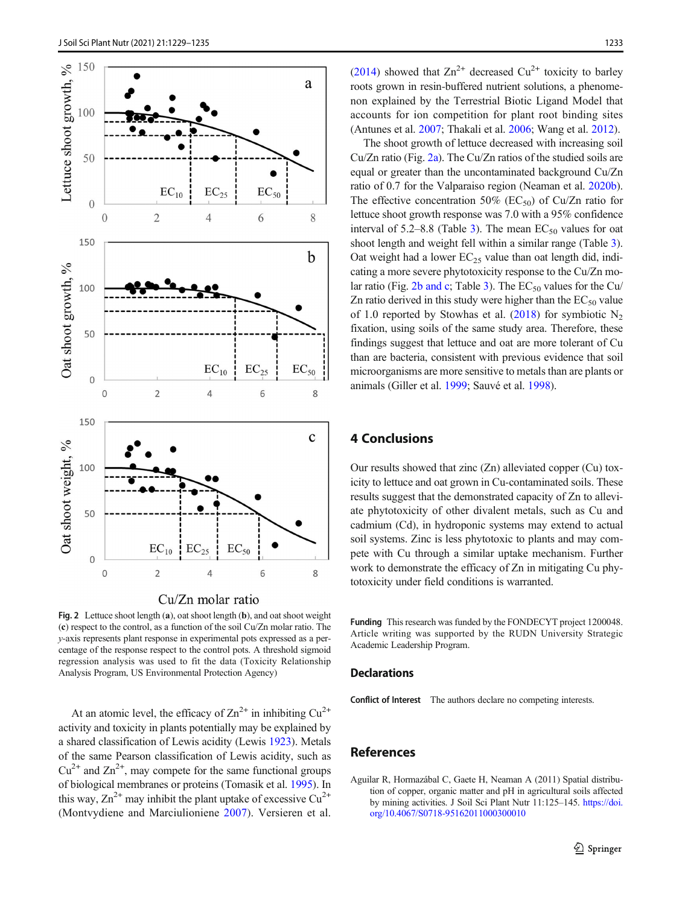<span id="page-4-0"></span>

Fig. 2 Lettuce shoot length (a), oat shoot length (b), and oat shoot weight (c) respect to the control, as a function of the soil Cu/Zn molar ratio. The y-axis represents plant response in experimental pots expressed as a percentage of the response respect to the control pots. A threshold sigmoid regression analysis was used to fit the data (Toxicity Relationship Analysis Program, US Environmental Protection Agency)

At an atomic level, the efficacy of  $\text{Zn}^{2+}$  in inhibiting  $\text{Cu}^{2+}$ activity and toxicity in plants potentially may be explained by a shared classification of Lewis acidity (Lewis [1923](#page-5-0)). Metals of the same Pearson classification of Lewis acidity, such as  $Cu^{2+}$  and  $Zn^{2+}$ , may compete for the same functional groups of biological membranes or proteins (Tomasik et al. [1995](#page-6-0)). In this way,  $Zn^{2+}$  may inhibit the plant uptake of excessive  $Cu^{2+}$ (Montvydiene and Marciulioniene [2007\)](#page-5-0). Versieren et al.

[\(2014\)](#page-6-0) showed that  $\text{Zn}^{2+}$  decreased  $\text{Cu}^{2+}$  toxicity to barley roots grown in resin-buffered nutrient solutions, a phenomenon explained by the Terrestrial Biotic Ligand Model that accounts for ion competition for plant root binding sites (Antunes et al. [2007](#page-5-0); Thakali et al. [2006;](#page-6-0) Wang et al. [2012](#page-6-0)).

The shoot growth of lettuce decreased with increasing soil Cu/Zn ratio (Fig. 2a). The Cu/Zn ratios of the studied soils are equal or greater than the uncontaminated background Cu/Zn ratio of 0.7 for the Valparaiso region (Neaman et al. [2020b\)](#page-5-0). The effective concentration 50% ( $EC_{50}$ ) of Cu/Zn ratio for lettuce shoot growth response was 7.0 with a 95% confidence interval of 5.2–8.8 (Table [3\)](#page-3-0). The mean  $EC_{50}$  values for oat shoot length and weight fell within a similar range (Table [3\)](#page-3-0). Oat weight had a lower  $EC_{25}$  value than oat length did, indicating a more severe phytotoxicity response to the Cu/Zn mo-lar ratio (Fig. 2b and c; Table [3](#page-3-0)). The  $EC_{50}$  values for the Cu/ Zn ratio derived in this study were higher than the  $EC_{50}$  value of 1.0 reported by Stowhas et al.  $(2018)$  $(2018)$  for symbiotic N<sub>2</sub> fixation, using soils of the same study area. Therefore, these findings suggest that lettuce and oat are more tolerant of Cu than are bacteria, consistent with previous evidence that soil microorganisms are more sensitive to metals than are plants or animals (Giller et al. [1999;](#page-5-0) Sauvé et al. [1998\)](#page-6-0).

## 4 Conclusions

Our results showed that zinc (Zn) alleviated copper (Cu) toxicity to lettuce and oat grown in Cu-contaminated soils. These results suggest that the demonstrated capacity of Zn to alleviate phytotoxicity of other divalent metals, such as Cu and cadmium (Cd), in hydroponic systems may extend to actual soil systems. Zinc is less phytotoxic to plants and may compete with Cu through a similar uptake mechanism. Further work to demonstrate the efficacy of Zn in mitigating Cu phytotoxicity under field conditions is warranted.

Funding This research was funded by the FONDECYT project 1200048. Article writing was supported by the RUDN University Strategic Academic Leadership Program.

#### **Declarations**

Conflict of Interest The authors declare no competing interests.

#### References

Aguilar R, Hormazábal C, Gaete H, Neaman A (2011) Spatial distribution of copper, organic matter and pH in agricultural soils affected by mining activities. J Soil Sci Plant Nutr 11:125–145. [https://doi.](https://doi.org/10.4067/S0718-95162011000300010) [org/10.4067/S0718-95162011000300010](https://doi.org/10.4067/S0718-95162011000300010)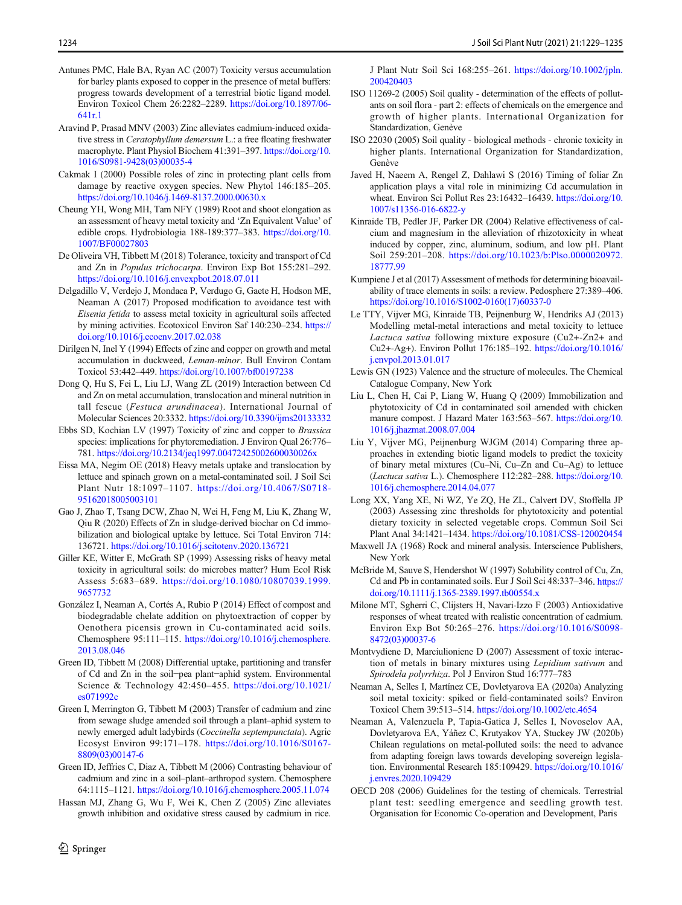- <span id="page-5-0"></span>Antunes PMC, Hale BA, Ryan AC (2007) Toxicity versus accumulation for barley plants exposed to copper in the presence of metal buffers: progress towards development of a terrestrial biotic ligand model. Environ Toxicol Chem 26:2282–2289. [https://doi.org/10.1897/06-](https://doi.org/10.1897/06-641r.1) [641r.1](https://doi.org/10.1897/06-641r.1)
- Aravind P, Prasad MNV (2003) Zinc alleviates cadmium-induced oxidative stress in Ceratophyllum demersum L.: a free floating freshwater macrophyte. Plant Physiol Biochem 41:391–397. [https://doi.org/10.](https://doi.org/10.1016/S0981-9428(03)00035-4) [1016/S0981-9428\(03\)00035-4](https://doi.org/10.1016/S0981-9428(03)00035-4)
- Cakmak I (2000) Possible roles of zinc in protecting plant cells from damage by reactive oxygen species. New Phytol 146:185–205. <https://doi.org/10.1046/j.1469-8137.2000.00630.x>
- Cheung YH, Wong MH, Tam NFY (1989) Root and shoot elongation as an assessment of heavy metal toxicity and 'Zn Equivalent Value' of edible crops. Hydrobiologia 188-189:377–383. [https://doi.org/10.](https://doi.org/10.1007/BF00027803) [1007/BF00027803](https://doi.org/10.1007/BF00027803)
- De Oliveira VH, Tibbett M (2018) Tolerance, toxicity and transport of Cd and Zn in Populus trichocarpa. Environ Exp Bot 155:281–292. <https://doi.org/10.1016/j.envexpbot.2018.07.011>
- Delgadillo V, Verdejo J, Mondaca P, Verdugo G, Gaete H, Hodson ME, Neaman A (2017) Proposed modification to avoidance test with Eisenia fetida to assess metal toxicity in agricultural soils affected by mining activities. Ecotoxicol Environ Saf 140:230–234. [https://](https://doi.org/10.1016/j.ecoenv.2017.02.038) [doi.org/10.1016/j.ecoenv.2017.02.038](https://doi.org/10.1016/j.ecoenv.2017.02.038)
- Dirilgen N, Inel Y (1994) Effects of zinc and copper on growth and metal accumulation in duckweed, Leman-minor. Bull Environ Contam Toxicol 53:442–449. <https://doi.org/10.1007/bf00197238>
- Dong Q, Hu S, Fei L, Liu LJ, Wang ZL (2019) Interaction between Cd and Zn on metal accumulation, translocation and mineral nutrition in tall fescue (Festuca arundinacea). International Journal of Molecular Sciences 20:3332. <https://doi.org/10.3390/ijms20133332>
- Ebbs SD, Kochian LV (1997) Toxicity of zinc and copper to Brassica species: implications for phytoremediation. J Environ Qual 26:776– 781. <https://doi.org/10.2134/jeq1997.00472425002600030026x>
- Eissa MA, Negim OE (2018) Heavy metals uptake and translocation by lettuce and spinach grown on a metal-contaminated soil. J Soil Sci Plant Nutr 18:1097–1107. [https://doi.org/10.4067/S0718-](https://doi.org/10.4067/S0718-95162018005003101) [95162018005003101](https://doi.org/10.4067/S0718-95162018005003101)
- Gao J, Zhao T, Tsang DCW, Zhao N, Wei H, Feng M, Liu K, Zhang W, Qiu R (2020) Effects of Zn in sludge-derived biochar on Cd immobilization and biological uptake by lettuce. Sci Total Environ 714: 136721. <https://doi.org/10.1016/j.scitotenv.2020.136721>
- Giller KE, Witter E, McGrath SP (1999) Assessing risks of heavy metal toxicity in agricultural soils: do microbes matter? Hum Ecol Risk Assess 5:683–689. [https://doi.org/10.1080/10807039.1999.](https://doi.org/10.1080/10807039.1999.9657732) [9657732](https://doi.org/10.1080/10807039.1999.9657732)
- González I, Neaman A, Cortés A, Rubio P (2014) Effect of compost and biodegradable chelate addition on phytoextraction of copper by Oenothera picensis grown in Cu-contaminated acid soils. Chemosphere 95:111–115. [https://doi.org/10.1016/j.chemosphere.](https://doi.org/10.1016/j.chemosphere.2013.08.046) [2013.08.046](https://doi.org/10.1016/j.chemosphere.2013.08.046)
- Green ID, Tibbett M (2008) Differential uptake, partitioning and transfer of Cd and Zn in the soil−pea plant−aphid system. Environmental Science & Technology 42:450–455. [https://doi.org/10.1021/](https://doi.org/10.1021/es071992c) [es071992c](https://doi.org/10.1021/es071992c)
- Green I, Merrington G, Tibbett M (2003) Transfer of cadmium and zinc from sewage sludge amended soil through a plant–aphid system to newly emerged adult ladybirds (Coccinella septempunctata). Agric Ecosyst Environ 99:171–178. [https://doi.org/10.1016/S0167-](https://doi.org/10.1016/S0167-8809(03)00147-6) [8809\(03\)00147-6](https://doi.org/10.1016/S0167-8809(03)00147-6)
- Green ID, Jeffries C, Diaz A, Tibbett M (2006) Contrasting behaviour of cadmium and zinc in a soil–plant–arthropod system. Chemosphere 64:1115–1121. <https://doi.org/10.1016/j.chemosphere.2005.11.074>
- Hassan MJ, Zhang G, Wu F, Wei K, Chen Z (2005) Zinc alleviates growth inhibition and oxidative stress caused by cadmium in rice.

J Plant Nutr Soil Sci 168:255–261. [https://doi.org/10.1002/jpln.](https://doi.org/10.1002/jpln.200420403) [200420403](https://doi.org/10.1002/jpln.200420403)

- ISO 11269-2 (2005) Soil quality determination of the effects of pollutants on soil flora - part 2: effects of chemicals on the emergence and growth of higher plants. International Organization for Standardization, Genève
- ISO 22030 (2005) Soil quality biological methods chronic toxicity in higher plants. International Organization for Standardization, Genève
- Javed H, Naeem A, Rengel Z, Dahlawi S (2016) Timing of foliar Zn application plays a vital role in minimizing Cd accumulation in wheat. Environ Sci Pollut Res 23:16432–16439. [https://doi.org/10.](https://doi.org/10.1007/s11356-016-6822-y) [1007/s11356-016-6822-y](https://doi.org/10.1007/s11356-016-6822-y)
- Kinraide TB, Pedler JF, Parker DR (2004) Relative effectiveness of calcium and magnesium in the alleviation of rhizotoxicity in wheat induced by copper, zinc, aluminum, sodium, and low pH. Plant Soil 259:201–208. [https://doi.org/10.1023/b:Plso.0000020972.](https://doi.org/10.1023/b:Plso.0000020972.18777.99) [18777.99](https://doi.org/10.1023/b:Plso.0000020972.18777.99)
- Kumpiene J et al (2017) Assessment of methods for determining bioavailability of trace elements in soils: a review. Pedosphere 27:389–406. [https://doi.org/10.1016/S1002-0160\(17\)60337-0](https://doi.org/10.1016/S1002-0160(17)60337-0)
- Le TTY, Vijver MG, Kinraide TB, Peijnenburg W, Hendriks AJ (2013) Modelling metal-metal interactions and metal toxicity to lettuce Lactuca sativa following mixture exposure (Cu2+-Zn2+ and Cu2+-Ag+). Environ Pollut 176:185–192. [https://doi.org/10.1016/](https://doi.org/10.1016/j.envpol.2013.01.017) [j.envpol.2013.01.017](https://doi.org/10.1016/j.envpol.2013.01.017)
- Lewis GN (1923) Valence and the structure of molecules. The Chemical Catalogue Company, New York
- Liu L, Chen H, Cai P, Liang W, Huang Q (2009) Immobilization and phytotoxicity of Cd in contaminated soil amended with chicken manure compost. J Hazard Mater 163:563–567. [https://doi.org/10.](https://doi.org/10.1016/j.jhazmat.2008.07.004) [1016/j.jhazmat.2008.07.004](https://doi.org/10.1016/j.jhazmat.2008.07.004)
- Liu Y, Vijver MG, Peijnenburg WJGM (2014) Comparing three approaches in extending biotic ligand models to predict the toxicity of binary metal mixtures (Cu–Ni, Cu–Zn and Cu–Ag) to lettuce (Lactuca sativa L.). Chemosphere 112:282–288. [https://doi.org/10.](https://doi.org/10.1016/j.chemosphere.2014.04.077) [1016/j.chemosphere.2014.04.077](https://doi.org/10.1016/j.chemosphere.2014.04.077)
- Long XX, Yang XE, Ni WZ, Ye ZQ, He ZL, Calvert DV, Stoffella JP (2003) Assessing zinc thresholds for phytotoxicity and potential dietary toxicity in selected vegetable crops. Commun Soil Sci Plant Anal 34:1421–1434. <https://doi.org/10.1081/CSS-120020454>
- Maxwell JA (1968) Rock and mineral analysis. Interscience Publishers, New York
- McBride M, Sauve S, Hendershot W (1997) Solubility control of Cu, Zn, Cd and Pb in contaminated soils. Eur J Soil Sci 48:337–346. [https://](https://doi.org/10.1111/j.1365-2389.1997.tb00554.x) [doi.org/10.1111/j.1365-2389.1997.tb00554.x](https://doi.org/10.1111/j.1365-2389.1997.tb00554.x)
- Milone MT, Sgherri C, Clijsters H, Navari-Izzo F (2003) Antioxidative responses of wheat treated with realistic concentration of cadmium. Environ Exp Bot 50:265–276. [https://doi.org/10.1016/S0098-](https://doi.org/10.1016/S0098-8472(03)00037-6) [8472\(03\)00037-6](https://doi.org/10.1016/S0098-8472(03)00037-6)
- Montvydiene D, Marciulioniene D (2007) Assessment of toxic interaction of metals in binary mixtures using Lepidium sativum and Spirodela polyrrhiza. Pol J Environ Stud 16:777–783
- Neaman A, Selles I, Martínez CE, Dovletyarova EA (2020a) Analyzing soil metal toxicity: spiked or field-contaminated soils? Environ Toxicol Chem 39:513–514. <https://doi.org/10.1002/etc.4654>
- Neaman A, Valenzuela P, Tapia-Gatica J, Selles I, Novoselov AA, Dovletyarova EA, Yáñez C, Krutyakov YA, Stuckey JW (2020b) Chilean regulations on metal-polluted soils: the need to advance from adapting foreign laws towards developing sovereign legislation. Environmental Research 185:109429. [https://doi.org/10.1016/](https://doi.org/10.1016/j.envres.2020.109429) [j.envres.2020.109429](https://doi.org/10.1016/j.envres.2020.109429)
- OECD 208 (2006) Guidelines for the testing of chemicals. Terrestrial plant test: seedling emergence and seedling growth test. Organisation for Economic Co-operation and Development, Paris